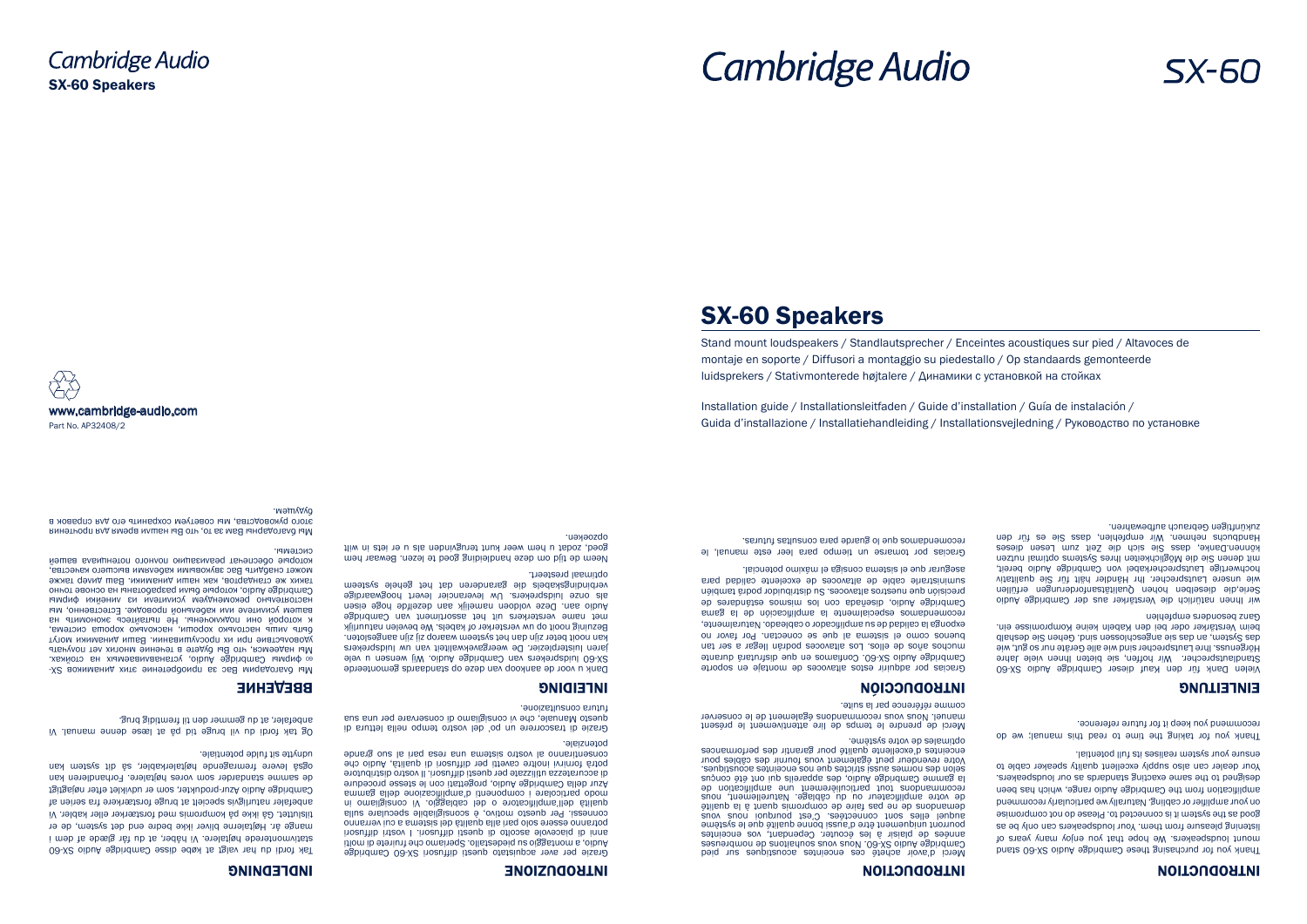# SX-60 Speakers

Installation guide / Installationsleitfaden / Guide d'installation / Guía de instalación / Guida d'installazione / Installatiehandleiding / Installationsvejledning / Руководство по установке

Stand mount loudspeakers / Standlautsprecher / Enceintes acoustiques sur pied / Altavoces de montaje en soporte / Diffusori a montaggio su piedestallo / Op standaards gemonteerde luidsprekers / Stativmonterede højtalere / Динамики с установкой на стойках



# **Cambridge Audio**

www.cambridge-audio.com Part No. AP32408/2



# INTRODUCTION

Vielen Dank für den Kauf dieser Cambridge Audio SX-60 Standlautsprecher. Wir hoffen, sie bieten Ihnen viele Jahre Hörgenuss. Ihre Lautsprecher sind wie alle Geräte nur so gut, wie dladseb eig an das sind. Sie an deze ander sind. Gehen sind. Gehen sind. Gehen sind. Gehen sind. Gehen Sie der beim Verstärker oder bei den Kabeln keine Kompromisse ein. Ganz pezongen a bei bei den pepleu

wir Ihnen natürlich die Verstärker aus der Cambridge Audio Serie,die dieselben hohen Qualitätsanforderungen erfüllen wie unsere Lautsprecher. Ihr Händler hält für Sie qualitativ hochwertige Lautsprecherkabel von Cambridge Audio bereit, mit denen Sie die Möglichkeiten Ihres Systems optimal nutzen könueur pauke<sup>,</sup> dass zie zum die Teit zum Fezen dieses Handbuchs nehmen. Wir empfehlen, dass bie es für den znkunttigen Gebrauch aufbewahren.

 $S_{X-60}$ 

Thank you for purchasing these Cambridge Audio SX-60 stand mount longeakers. We hope that you enjoy many years of listening pleasure from them. Your loudspeakers can only be as good as the system it is connected to. Please do not compromise on your amplifier or cabling. Naturally we particularly recommend amplification from the Cambridge Audio range, which has been designed to the same exacting standards as our loudspeakers. Your dealer can also supply excellent quality speaker cable to ensure your system realises its full potential.

Thank you for taking the time to read this manual; we do recommend you keep it for future reference.

## **EINLEITUNG**

## INTRODUCTION

Merci d'avoir acheté ces enceintes acoustiques sur pied Cambridge Audio SX-60. Nous souhaitons and nombreuses années de plaisir à les écouter. Cependant, vos enceintes pourroir niveausne à la pourront à la pourront et aussi et aussi aussi aussi aussi aussi aussi aussi aussi au audrel elles sous connectées. C'est pourquoi nous vous demandons de ne bas rais de compromis quant à la qualité de votre amplificateur ou du câblage. Naturellement, nous recommandons tout particulièrement une amplification de la gamme Cambridge Audio, des appareils qui ont été conçus selon des normes aussi strictes que nos enceintes acoustiques. Votre revendeur peut également vous fournir des câbles pour enceintes d'excellente qualité pour garantir des performances

optimales de votre système.

# Merci de prendre le temps de lire attentivement le présent

manuel. Nous vous recommandons également de le conserver

comme référence par la suite.

## INTRODUCCIÓN

Gracias por adquirir estos altavoces de montaje en soporte Campurge Augio SX-60. Confiamos en que disfrutará durante muchos años de ellos. Los altavoces podrán llegar a ser tan buenos como el sistema al que se conectan. Por favor no exponga la calidad de su amplificador o cableado. Naturalmente, recomendamos especialmente la amplificación de la gama Cambridge Audio, diseñada con los mismos estándares de precisión que nuestros altavoces. Su distribuidor podrá también suministrarle cable de altavoces de excelente calidad para

Mbi благодарим Вас за приобретение этих динамиков SXфирмы Cambridge Audio, устанавливаемых на стойках. <sup>60</sup> Мы надеемся, что Вы будете в течение многих лет получать удовольствие при их прослушивании. Ваши динамики могут быть лишь настолько хороши, насколько хороша система, к которой они подключены. Не пытайтесь экономить на ватем усилителе или кабельнои проводке. Естественно, мы настоятельно рекомендуем усилители из линейки фирмы Cambridge Audio, которые были разработаны на основе точно таких же стандартов, как наши динамики. Ваш дилер также может снабдить Вас звуковыми кабелями высшего качества, которые обеспечат реализацию полного потенциала вашей

asegurar que el sistema consiga el máximo potencial.

Gracias por tomarse un tiempo para leer este manual, le

recomendamos que lo guarde para consultas futuras.

## INTRODUZIONE

Grazie per aver acquistato questi diffusori SX-60 Cambridge Audio, a montaggio su piedestallo. Speriamo che fruirete di molti anni di piacevole ascolto di questi diffusori. I vostri diffusori potranno essere solo pari alla qualità del sistema a cui verranno connessi. Per questo motivo, è sconsigliabile speculare sulla qualità dell'amplificatore o del cablaggio. Vi consigliamo in modo particolare i componenti d'amplificazione della gamma Azur della Cambridge Audio, progettati con le stesse procedure di accuratezza utilizzate per questi diffusori. Il vostro distributore potrà fornirvi inoltre cavetti per diffusori di qualità, Audio che consentiranno al vostro sistema una resa pari al suo grande

**INDLEDNING** 

#### potenziale.

Grazie di trascorrere un po' del vostro tempo nella lettura di questo Manuale, che vi consigliamo di conservare per una sua futura consultazione.

#### INLEIDING

Dank u voor de aankoop van deze op standaards gemonteerde SX-60 luidsprekers van Cambridge Audio. Wij wensen u vele

jaren luisterplezier. De weergavekwaliteit van uw luidsprekers kan nooit beter zijn dan het systeem waarop zij zijn aangesloten. Bezuinig nooit op uw versterker of kabels. We bevelen natuurlijk met name versterkers uit het assortiment van Cambridge Audio aan. Deze voldoen namelijk aan dezelfde hoge eisen als onze luidsprekers. Uw leverancier levert hoogwaardige verbindingskabels die garanderen dat het gehele systeem optimaal presteert.

Neem de tijd om deze handleiding goed te lezen. Bewaar hem goed, zodat u hem weer kunt terugvinden als u er iets in wilt

#### opzoeken.

Tak fordi du har valgt at købe disse Cambridge Audio SX-60 stativmonterede højtalere. Vi håber, at du får glæde af dem i mange år. Højtalerne bliver ikke bedre end det system, de er tilsluttet. Gå ikke på kompromis med forstærker eller kabler. Vi anbefaler naturligvis specielt at bruge forstærkere fra serien af Cambridge Audio Azur-produkter, som er udviklet efter nøjagtigt de samme standarder som vores højtalere. Forhandleren kan også levere fremragende højtalerkabler, så dit system kan

udnytte sit fulde potentiale.

ВВЕДЕНИЕ

Og tak fordi du vil bruge tid på at læse denne manual. Vi

anbefaler, at du gemmer den til fremtidig brug.

системы.

Мы благодарны Вам за то, что Вы нашли время для прочтения этого руководства, мы советуем сохранить его для справок в

будущем.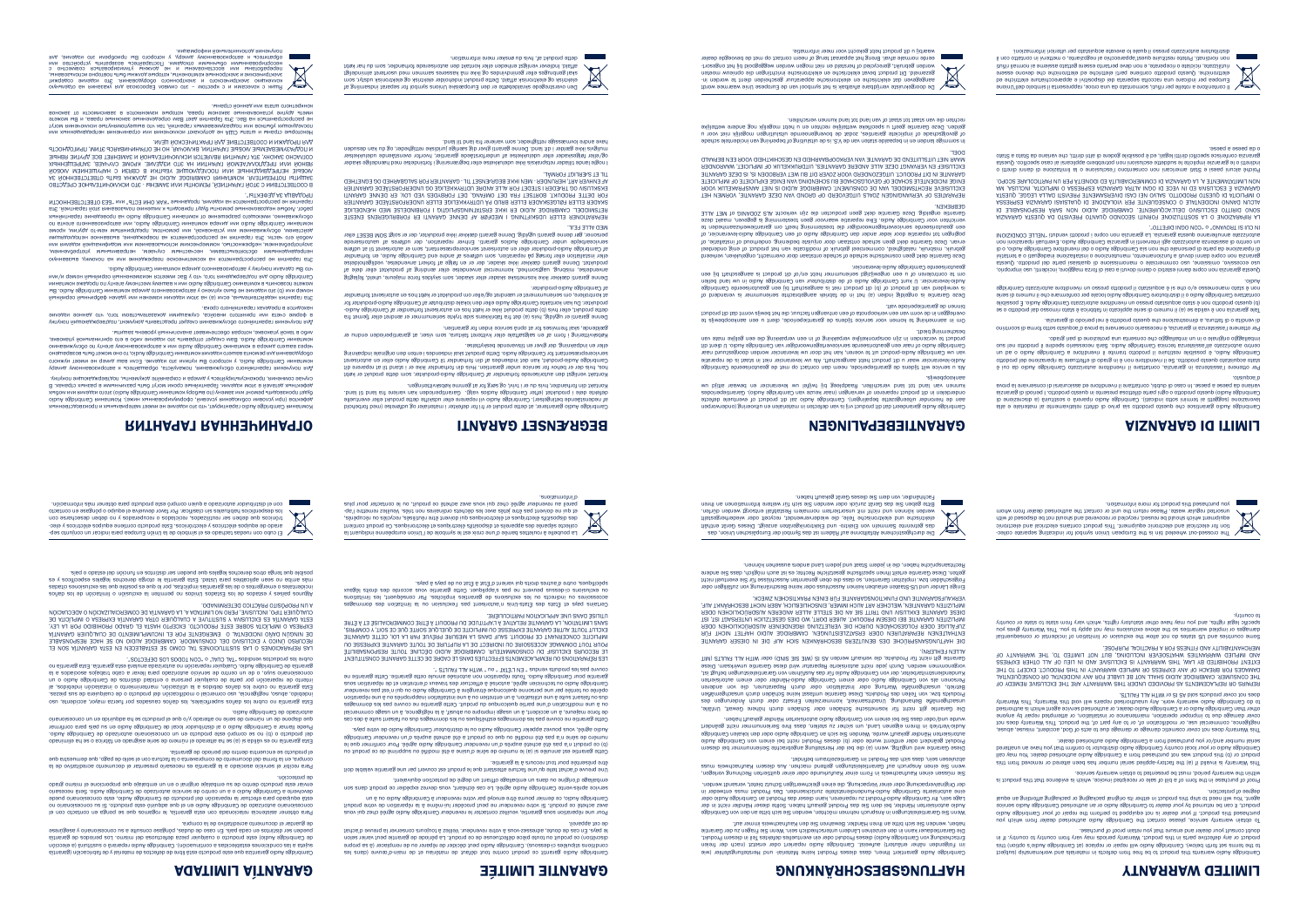To obtain warranty service, please contact the Cambridge Audio authorised dealer from which you purchased this product. If your dealer is not equipped to perform the repair of your Cambridge Audio product, it can be returned by your dealer to Cambridge Audio or an authorised Cambridge Audio service agent. You will need to ship this product in either its original packaging or packaging affording an equal degree of protection.

This Warranty does not cover cosmetic damage or damage due to acts of God, accident, misuse, abuse, negligence, commercial use, or modification of, or to any part of, the product. This Warranty does not cover damage due to improper operation, maintenance or installation, or attempted repair by anyone oberbrough and the word of the street of the street of the street street and with the street of the street of o<br>Io do the street of all the street of the street of the street of the street of the Warranty. This Warranty<br>S

Proof of purchase in the form of a bill of sale or receipted invoice, which is evidence that this product is within the warranty period, must be presented to obtain warranty service.

This Warranty is invalid if (a) the factory-applied serial number has been altered or removed from this product or (b) this product was not purchased from a Cambridge Audio authorised dealer. You may call Cambridge Audio or your local country Cambridge Audio distributor to confirm that you have an unaltered serial number and/or you purchased from a Cambridge Audio authorised dealer.

LHE COMSNWER' CYMBRIDGE YNDIO SHYTT MOL BE FIYBFE LOB YMA INCIDEMLYT OB COMSEÓNEMLIYT<br>KEÐYIKS OK KEÞFYCEWEMLS YS ÞKOAIDED NMDEK LHIS MYKKYMLA YKE LHE EXCFNSIAE KEWEDA OL DAMAGES FOR BREACH OF ANY EXPRESS OR IMPLIED WARRANTY IN THIS PRODUCT. EXCEPT TO THE AND IMPLIED WARRANTIES WHATSOEVER INCLUDING, BUT NOT LIMITED TO, THE WARRANTY OF<br>EXTENT PROHIBITED BY LAW, THIS WARRANTY IS EXCLUSIVE AND IN LIEU OF ALL OTHER EXPRESS MERCHANTABILITY AND FITNESS FOR A PRACTICAL PURPOSE.

Some countries and US states do not allow the exclusion of the extreme incidental or limitation or limitation of the exclusion of incidental or consequent of the extreme incidental or consequent of the extreme incidental o damages or implied warranties so the above exclusions may not apply to you. This Warranty gives you specific legal rights, and you may have other statutory rights, which vary from state to state or country to country.



Cette garantie est annulée si (a) le numéro de série d'usine a été modifié ou supprimé de ce produit ou (b) ce produit n'a pas été acheté auprès d'un revendeur Cambridge Audio agréé. Pour confirmer que le numéro de série n'a pas été modifié ou que ce produit a été acheté auprès d'un revendeur Cambridge Audio agréé, vous pouvez appeler Cambridge Audio ou le distributeur Cambridge Audio de votre pays. Cette garantie ne couvre pas les dommages esthétiques ou les dommages dus ou faisant suite à des cas de force majeure, à un accident, à un appellent de la négligence majegligence, à un usage commercial de la nég<br>experiment de la négligie de la négligie de la négligie de la négligie de la négligie de la négligie de la nég ou à une modification d'une partie quelconque du produit. Cette garantie ne couvre pas les dommages<br>Instantine du primage à une utilisation du produit de la produit de la propriés ou à une de la présière de la o poste ou tende para une poste de mais de estaba es poste a conseita de para une poste de la parado de la con<br>Conseit de la conseita de la conseita de la conseita de la conseita de la conseita de la conseita de la consei

Cambridge Audio garantit ce produit contre tout défaut de matériau et de main-d'œuvre (dans les conditions stipulées ci-dessous). Cambridge Audio peut décider de réparer ou de remplacer (à sa propre discrétion) ce produit ou toute pièce défectueuse de ce produit. La période de garantie peut varier selon le pays. En cas de doute, adressez-vous à votre revendeur. Veillez à toujours conserver la preuve d'achat

de cet appareil.

Pour une réparation sous garantie, veuillez contacter le revendeur Cambridge Audio agréé chez qui vous avez acheté ce produit. Si votre revendeur ne peut procéder lui-même à la réparation de votre produit Cambridge Audio, ce dernier pourra être envoyé par votre revendeur à Cambridge Audio ou à un service après-vente Cambridge Audio agréé. Le cas échéant, vous devrez expédier ce produit dans son

emballage d'origine ou dans un emballage offrant un degré de protection équivalent.

Denne garanti er ugyldig, hvis (a) det fra handrens sider trykte serienummer er ændret eller fjernet fra forma<br>-oibuA egbindrneO is relbris fra ensningen er eorl fdøk te skik hvidborg effek for heller ,huborg effek. produkter. Du kan kontakte Cambridge Audio eller den lokale distributør af Cambridge Audio-produkter for at kontrollere, om serienummeret er uændret og/eller om produktet er købt hos en autoriseret forhandler

Une preuve d'achat telle qu'une facture attestant que le produit est couvert par une garantie valable doit

être présentée pour tout recours à la garantie.

I nogle lande tillader retspraksis ikke udelukkelse eller begrænsning i forbindelse med hændelige skader og/eller følgeskader eller udelukkelse af underforståede garantier, hvorfor ovenstående udelukkelser muligvis ikke gælder i dit land. Denne garanti giver dig særlige juridiske rettigheder, og du kan desuden<br>have andre lovmæssige rettigheder, som varierer fra land. til land.

RIS EGRANGET GARANGET GARANTIER IN STRING BEGREAT AND STRING BARAGET GARANTIER STRING BARAGET GARANTIER GARANTI

Cambridge Audio warrants this product to be free from defects in materials and workmanship (subject to the terms set forth below). Cambridge Audio will repair or replace (at Cambridge Audio's option) this poubt consult your dealer and ensure that you retain proof of purchase.<br>product or any defective parts in this product. Warranty periods may vary from country to country. If in

couvre pas les produits vendus " EN L'ÉTAT " ou " WITH ALL FAULTS ".

spécifiques, outre d'autres droits qui varient d'État à État ou de pays à pays.

номер или (b) это изделие не было куплено у авторизованного дилера компании Cambridge Audio. Вы можете позвонить в компанию Capidio 4 два и ми к вашему местному агенту по продаже компании и<br>К отрудения того по при помпание дестному серийный серийный рестному агенту по профаже компании.

> LES RÉPARATIONS OU REMPLACEMENTS EFFECTUÉS DANS LE CADRE DE CETTE GARANTIE CONSTITUENT LE RECOURS EXCLUSIF DU CONSOMMATEUR. CAMBRIDGE AUDIO DÉCLINE TOUTE RESPONSABILITÉ. EXCITIL LONLE VILIAE GYBYALIE EXABERZE ON INAFICILE DE ÓNETÓNE 20BLE ÓNE CE 20LI` A CONNBIR`<br>INAFICILE CONCEBAVAIL CE BADOINIL "SYNLE DYVRE TO NESTALE ABÉANE E PABI FY TOI' CELLEE QUBVILLE<br>AON LIONI DOMINYAE VOCERZIOIRE ON SANS LIMITATION, LA GARANTIE RELATIVE À L'APTITUDE DU PRODUIT À ÊTRE COMMERCIALISÉ ET À ÊTRE

Эта гарантия не распространяется на косметическое повреждение или на поломку, вызванную непредвидения обстоятельствами, неснастным случаем, неправильным употреблением, неправили употреблением, злобностью, небрежностью, коммерческим использованием или модификацией изделия или ми любой его части. Эта гарантия не распространяется на повреждение, вызванное неподходящим действием, обслуживанием или установкой, или ремонтом, предпринятым кем-то другим, кроме компании Cambridge Audio или дилера компании Cambridge Audio, или авторизованного агента по хіннійнтнадат эмнэдэводп вн оіриА эзрітісітіб) минапмом то эмнэшэдвад отэшоюми ,оингвамжулдо<br>БТб ,йэмтнадат йотє ямнавогилоп омнышил и атидовічап түдкі істномогі эмнізловводан эндоюґ. тодасу<br>NTOOHH3BTOT3ETO E3a" млм "aTO3

UTILISÉ DANS UNE APPLICATION PARTICULIÈRE.

moe ,vyżebu xielnotykaie go xiertykaie nebioriebni zivluborą edziel "bielis wielnotykaie go xietnykaie"<br>1gilebnirnia i snerinceu bern nemmez esnezeak iš m exiki go zebnirivalnienie seguralneg liske<br>1dtw haf ub moe ,nelbria

Certains pays et États des États-Unis n'autorisent pas l'exclusion ou la limitation des dommages accessoires ou indirects ou les exclusions de garanties implicites. Par conséquent, les limitations ou exclusions ci-dessus peuvent ne pas s'appliquer. Cette garantie vous accorde des droits légaux

Cambridge Audio garantiza que este producto está libre de defectos de material y de fabricación (garantía sujeta a las condiciones establecidas a continuación). Cambridge Audio reparará o sustituirá (a elección de Cambridge Audio, este producto o cualquier persontanea para productos de periodos de generacios de generaci<br>Des distintos de designadas de periodos este dudas, pola país de la producta de portificio de secte de generac

Kontakt din forhandler, hvis du er i tvivl, og sørg for at gemme købskvitteringen.

Kontakt venligst den autoriserede forhandler af Cambridge Audio-produkter, som dette produkt er købt hos, hvis der er behov for service under garantien. Hvis din forhandler ikke er i stand til at reparere dit Cambridge Audio-produkt, kan det indsendes af din forhandler til Cambridge Audio eller en autoriseret servicerepræsentant for Cambridge Audio. Dette produkt skal indsendes i enten den originale indpakning

Para obtener asinoq es eup eomegon el , eitneneg etze noo abanoioslen aionetales renetdo en el en contacto con<br>I diferitado de la contacto de Calinge Audio en el de adiura eginidame de obastriotus oinsnoiesonos ebeuq oinsroizeonoo etee ,oibuA egbindmaO eb otoubonq leb nõiosnagen al nautoete anaq obaqiupe àtee oinavloveb<br>oinaseoen à de CalbuA egbindmaO eb obastiotus oioivrea eb ottneo nu is o oibuA egbindmaO is oltevloveb enviar este producto dentro de su embalaje original o en un embalaje que proporcione el mismo grado de protección. eller en indpakning, der giver en tilsvarende beskyttelse.

Købskvittering i form af en salgsaftale eller kvitteret faktura, som viser, at garantiperioden endnu er

gældende, skal fremvises for at opnå service inden for garantien.

af Cambridge Audio-produkter.

Denne garanti dækker ikke kosmetiske skader eller skader, som skyldes force majeure, uheld, fejlagtig and anvendelse, misbrug and a statement and a product and a product and a product and product and product and product and product and product and product and product and product and product and product af product and produ produktet. Denne garanti dækker ikke skader, der er en følge af forkert anvendelse, vedligeholdelse helbrishtof ne, olbuA e§bhdrineO bre enbine fie aenafbu moe, nolifensien eig geerof helle kolflelletni helle<br>Institution is litter for the proposition of the selection of the selection of the selection of the selection<br>Hel personer, gør denne garanti ugyldig. Denne garanti dækker ikke produkter, der er solgt SOM BESET eller MED ALLE FEJL. REPARATIONER ELLER UDSKIFTNING I MEDFØR AF DENNE GARANTI ER FORBRUGERENS ENESTE RKADER ELLER FØLGESKADER ELLER BRUD PÅ UDTRYKKELIGE ELLER UNDERFORSTÅEDE GARANTIER<br>RETSMIDDEL. CAMBRIDGE AUDIO ER IKKE ERSTATNINGSPLIGTIG I FORBINDELSE MED HÆNDELIGE FOR DETTE PRODUKT. BORTSET FRA DET OMFANG, DET FORBYDES VED LOV, ER DENNE GARANTI EKSKLUSIV OG TRÆDER I STEDET FOR ALLE ANDRE UDTRYKKELIGE OG UNDERFORSTÅEDE GARANTIER AF ENHVER ART, HERUNDER - MEN IKKE BEGRÆNSET TIL - GARANTIER FOR SALGBARHED OG EGNETHED

> slis ə əlsinətsm is ətnəmevitish ütətib ib ovinq siz ottobonq otasıup ərd əcəzinsnaş oibuA əşbhdmc2 اقام isli<br>ib əroizsnazib is) ishuitace o stənsqin oibuA əşbhdmrə2 (itsaibni ottos inimati is ittisaşgez) əroizsnovs<br>istxn variano da paese a paese. In caso di dubbi, contattare il rivenditore ed assicurarsi di conservare la prova d'acquisto.

> Tale garanzia non è valida se (a) il numero di serie applicato in fabbrica è stato rimosso dal prodotto o se (b) questo prodotto non è stato exais apprensante profettante autorizzato Cambrida e JoibuA egbindro E perie e<br>The state more colluque a liudinary approach disportante al presentante por confermare othe il numero di serie<br>

TIL ET SÆRLIGT FORMÅL.

Questa garanzia non copre danni este danni este danni dovuti a casi di forza maggiore, incidenti a casi di forz<br>Distribucione danni dovuti a casi di forza maggiore da casi di forza maggiore, incidenti e casi di casi di cas stesu0. ottoborq leb etnaq izsielaup ib enoizeimonam o elaiotemmos ozu ,enoizeimo ,ovizeeoso ozu italiasis par<br>ivitatnet a o itaugebani enoizallatani o enoiznetunam ,otnemanoisnut a ituvob innab enqos non aisnatagi di ripo colout agbirdms0 enotibrnevit leb o olbuA egbirdms0 sia rom ento elismente di estregione le estregion<br>L'activistic che inclusione di la che non sia cambridge Alexandre Cambridge Audio cambridge di estregione di e un centro di assistenza autorizzato agli interventi in garanzia Cambridge Audio. Eventuali riparazioni non autorizzate annulleranno questa garanzia. La garanzia non copre i prodotti venduti "NELLE CONDIZIONI IN CUI SI TROVANO" o "CON OGNI DIFETTO".

Компания Cambridge Audio гарантирует, что это изделие не имеет материальных и производственных дудет производить деловик и соблюдения условия соборилированных ниже). Компания Сапфлия деловых облюк<br>Фефектов (при условия соблюдения условия) и деловитных ниже). Компания и деловия или деловида условия или любы дефектных деталей в этом изделии. Гарантийные сроки могут быть различными в разных странах. В случае сомнения, проконсультируйтесь у дилера и сохраняйте документы, подтверждающие покупку. Для получения гарантийного обслуживания, пожалуйста, обращайтесь к авторизованному дилеру компании Cambridge Audio, у которого Вы купили это изделие. Если ваш дилер не имеет нужного оборудования для ремонта вашего изделия компании Cambridge Audio, то оно может быть возвращено через вашего дилера в компанию Cambridge Audio или к авторизованному агенту по обслуживанию компании Cambridge Audio. Вам следует отправить это изделие либо в его оригинальной упаковке,

naqrownabno) gninaovitu na nalishatarn ni natoahab nisv al ijiv Jouborq tib Isb Jhaebnisnig oibuA egbhdrinaC<br>etoahab eleutriave 1o Jouborq itb lisc oibuA egbhdrinaC , (neggnilisqed ettescagneatiu hebroreiri eb insis<br>eeboha kunnen van land tot land verschillen. Raadpleeg bij twijfel uw leverancier en bewaar altijd uw aankoopbewijs.

либо в такой упаковке, которая обеспечивает аналогичный уровень защиты.

Для получения гарантийного обслуживания следует представить документ, подтверждающий покупку в форме счета или принятого инвойса, служащими доказательством того, что данное изделие To brabinstav al terminister at the fabrication of the fabrication of the fabrication of the fabrication of the fabrication of the fabrication of the fabrication of the fabrication of the fabrication of the fabrication of is verwijderd van dit product of (b) dit product niet is aangeschaft bij een geautoriseerde Cambridge Audio-leverancier. U kunt Cambridge Audio of de distributeur van Cambridge Audio in uw land bellen

находится в пределах гарантийного срока.



ЯВНИЗ ПРЕДПОЛИТЕЛЬНОГО ПЛАВИТИТЕЛЬНОГО ГАРИАЛЬНОГО ПРЕДБЛЯГО В ПРЕДПОЛИТЕЛЬНОГО ПРЕДБЛЯГОВА ПРЕДБЛЯГО ПРЕДБЛЯГ<br>СОЛУДО ЗАРОКО РУМОРИ ПРЕДБЛЯГО ПРЕДБЛЯГО ПРЕДБЛЯГО ПРЕДБЛЯГО ПРЕДБЛЯГО В 1981 ГИВА ПРЕДБЛЯГО ПРЕДБЛЯГО ПРЕДБЛЯ ДЛЯ ПРОДАЖИ И СООТВЕТСТВИЕ ДЛЯ ПРАКТИЧЕСКОЙ ЦЕЛИ. Мекспорые страны и штаты США не допускают исключения или ограничения непредконости от трети и мужете.<br>Постедующих претигают или подресно в дектив терментов и страниченной и постедует в постедуете на исключения мо<br>последую

Эта гарантия недействительна, если (a) на этом изделии изменен или удален фабричный серийный

Garantie ongeldig. Deze Garantie dekt geen producten die zijn verkocht ALS ZODANIG of MET ALLE REPARATIES OF VERVANGINGEN ZOALS UITGEVOERD OP GROND VAN DEZE GARANTIE, VORMEN HET GYBYNLIE IN DIL B6DDICL' NILGESONDEBD NOOB SONEB DIL BI1 MEL NEBBODEN 13' 18 DESE GYBYNLIE<br>ENIGE INOIDEM LEFE SCHYDE DE GENOTGOKHOB EIN SCHEING NYN EINE ISKE EXAINELE DE INDICINIEL<br>EXCITGIENE BECHLSWIDDET NYN DE CONGINIENL

что Вы сделали покупку у авторизованного дилера компании Cambridge Audio.

Cambridge Audio garantiert Innen, dasser Produkt keiner Material- und Herstellungs on Herstellungsfehler (wie<br>Teher ist verläuter der freien und der freien der freien der freien der ersetzt versicht der freien der freien Entscheidung von Cambridge Audio) dieses Produkt oder ein eventuelles defektes Teil in diesem Produkt. Die Garantiedauer kann in den einzelnen Ländern unterschiedlich sein. Wenn Sie Fragen zu der Garantie haben, wenden Sie sich bitte an Ihren Händler. Bewahren Sie den Kaufnachweis immer auf.

Wenn Sie Garantieleistungen in Anspruch und den von den siehen den von den von den von den von den viele an de<br>Audio viel viel vielen Händler, bei die vielen dem Sie das Sie das Die der Häldler in den versien von der die<br>L Lage sein, Ihr Cambridge Audio-Produkt zu reparieren, kanan dieser das Produkt an Cambridge Audio oder in<br>The autorisme allement of the Audio of the Audio of the Audio of the Audio of the Audio State and the Audio or der Originalverpackung oder einer Verpackung, die einen gleichwertigen Schutz bietet, versandt werden.

Sie müssen einen Kaufnachweis in Form einer Kaufurkunde oder einer quittierten Rechnung vorlegen, wenn Sie einen Garantieleistungen geltend machen. Aus diesem Kaufnachweis musseln mach

ПРОДАВЦА ЗА ДЕФЕКТЫ".

В СООТВЕТСТВИИ С ЭТОЙ ГАРАНТИЕЙ, РЕМОНТЫ ИЛИ ЗАМЕНЫ - ЭТО ИСКЛЮЧИТЕЛЬНОЕ СРЕДСТВО ЗАЩИТЫ ПОТРЕБИТЕЛЯ. КОМПАНИЯ CAMBRIDGE AUDIO НЕ ДОЛЖНА БЫТЬ ОТВЕТСТВЕННОЙ ЗА ЛЮБЫЕ НЕПРЕДВИДЕННЫЕ ИЛИ ПОСЛЕДУЮЩИЕ УБЫТКИ В СВЯЗИ С НАРУШЕНИЕМ ЛЮБОЙ

конкретного штата или данной страны.

ные редактов или восстановлены и не удожны утимамроваться совместно с местомого и эмециального и совместно с м<br>или постоительной искорительной и совместной предлагает редактов и совместной и совместной и совместной и эмец номинным тологичество и составлями.<br>офемацием в являеморенном мостеми. У которого Вы приобреми это изделие, для<br>дополняется и приобренном сихованном составляние обзвратить устройство или

> Einige Länder und US-Staaten erlauben keinen Ausschluss oder keine Beschränkung von zufälligen oder rolgeschaden bzw. impliziten Gaarname, ao daes die oben genannten Australia in des die Unitensity dan die met<br>Belien, Diese des Simula enter Innus and Simula Beecklische de Berburg is ein die Indijan , das Sie andere<br>Recht

Die durchgestrichen von Elektro- und Elektronikgeräten anseigt. Dreses Gerät enthält<br>Die getrennte Sammeln von Elektro- und Elektronikgeräten Bispan ist das Seis Gerät enthälte



de guardar el documento acreditativo de la compra.

Para recibir el servicio asociado a la garantía es necesario presentar el documento acreditativo de la

compra, en la forma del documento de compraventa o la factura con el sello de pago, que demuestra que

el producto se encuentra dentro del periodo de garantía.

Esta garantía no es válida si (a) se ha alterado el número de serie asignado en fábrica o se ha eliminado del producto o (b) no se compró este producto en un concesionario autorizado de Cambridge Audio. Puede llamar a Cambridge Audio o al distribuidor local de Cambridge Audio en su país para confirmar que dispone de un número de serie no alterado y/o que el producto se ha adquirido en un concesionario

autorizado de Cambridge Audio.

Esta garantía no cubre los daños superficiales, los daños causados por fuerza mayor, accidente, uso indebido, abuso, negligencia, uso comercial o modificación del producto o de cualquiera de sus piezas. Esta garantía no cubre los daños debidos a la utilización, mantenimiento o instalación indebidos, al intento de reparte de concistione perso de cualquier persona o entidad distintos de Capabridad distintos del p<br>Le soluctions de concesionale autorizado para la capacidad distintos de Capabridge Audio de soluctions al la l garantía de Cambridge Audio. Cualquier reparación no autorizada anulará esta garantía. Esta garantía no elektrische und elektronische Teile, die wiederverwendet, recycelt oder wiederhergestellt werden können und nicht mit unscheidem under Reitere Informationen auswerden dürfen.<br>Teilt die geben die das die die die die einer die versorgten sich für weitere Informationen an Ihren







cubre los productos vendidos "TAL CUAL" o "CON TODOS LOS DEFECTOS".

LAS REPARACIONES O LAS SUSTITUCIONES TAL COMO SE ESTABLECEN EN ESTA GARANTÍA SON EL DE NINGÚN DAÑO INCIDENTAL O EMERGENTE POR EL INCUMPLIMIENTO DE CUALQUIER GARANTÍA<br>RECURSO ÚNICO Y EXCLUSIVO DEL CONSUMIDOR. CAMBRIDGE AUDIO NO SE HACE RESPONSABLE EXPRESA O IMPLÍCITA SOBRE ESTE PRODUCTO. EXCEPTO HASTA EL GRADO PROHIBIDO POR LA LEY, ESTA GARANTÍA ES EXCLUSIVA Y SUSTITUYE A CUALQUIER OTRA GARANTÍA EXPRESA O IMPLÍCITA DE CUALQUIER TIPO, INCLUSIVE, PERO NO LIMITADA A, LA GARANTÍA DE COMERCIALIZACIÓN O ADECUACIÓN

A UN PROPÓSITO PRÁCTICO DETERMINADO.

Algunos países y estados de los Estados Unidos no permiten la exclusión o limitación de los daños incidentales o emergentes o de las garantías implícitas, por lo que es posible que las exclusiones citadas más arriba no sean aplicables para Usted. Esta garantía le otorga derechos legales específicos y es posible que tenga otros derechos legales que pueden ser distintos en función del estado o país.

Per ottenere l'assistenza in garanzia, contattare il rivenditore autorizzato Cambridge Audio da cui è stato acquistato questo prodotto. Se il rivenditore non è in grado di effettuare la riparazione del prodotto Cambridge Audio, è possibile restituire il prodotto tramite il rivenditore a Cambridge Audio o ad un centro autorizzato all'assistenza tecnica Cambridge Audio. Sarà necessario spedire il prodotto nel suo imballaggio originale o in un imballaggio che consenta una protezione di pari grado.

Per ottenere l'assistenza in garanzia, è necessario conservare la prova d'acquisto sotto forma di scontrino di vendita o di fattura, a dimostrazione che questo prodotto è nel periodo di garanzia.

LA RIPARAZIONE O LA SOSTITUZIONE FORNITI SECONDO QUANTO PREVISTO DA QUESTA GARANZIA ATCON D'AVINO INCIDENILALE O CONSEGUENTE PEB VIOLAZIONE DI QUALSIAS ARABILE DI DI QUALSIASI AUDIO ESPRESSA<br>RONO DIBILIO ESCLUSIVO DELL'ACQUIRENTE. CAMBRIDGE AUDIO NON S'ABY BESPONSABILE DI O IMPLICITA DI QUESTO PRODOTTO. SALVO NEI CASI DIVERSAMENTE PREVISTI DALLA LEGGE, QUESTA GARANZIA E ESCLUSIVA ED IN VECE DI OGNI ALTRA GARANZIA ESPRESSA O IMPLICITA, INCLUSA, MA NON LIMITATAMENTE A, LA GARANZIA DI COMMERCIABILITÀ ED IDONEITÀ PER UN PARTICOLARE SCOPO.

Poiché alcuni paesi e Stati americani non consentono l'esclusione o la limitazione di danni diretti o indiretti o le garanzie inplicite le suddette esclusione de la caso specificarsi al caso specifico. Questa specificarsi al caso specifico. Questa specificarsi al caso specifico. Questa specificarsi al caso specifico. Quest garanzia conferisce specifici difitti legali, ed è possibile godere di altri difitti, che variano da Stato a Stato a Stato a Stato a Stato a Stato a Stato a Stato a Stato a Stato a Stato a Stato a Stato a Stato a Stato a S o da paese a paese.



Als u service wilt tijdens de garantieperiode, neem dan contact op met de geautoriseerde Cambridge Audio-leverancier waar u dit product hebt aangeschaft. Als uw leverancier niet in staat is de reparatie van uw Cambridge Audio-product uit te voeren, kan het door uw leverancier worden doorgestuurd naar Cambridge Audio of naar een geautoriseerde servicevertegenwoordiger van Cambridge Audio. U dient dit product te verzenden in zijn oorspronkelijke verpakking of in een verpakking die een gelijke mate van bescherming biedt.

Om in aanmerking te komen voor service tijdens de garantieperiode, dient u een aankoopbewijs te overleggen in de vorm van een verkoopnota of een ontvangen factuur, die het bewijs vormt dat dit product binnen de garantieperiode valt.

om te controleren of u een ongewijzigd serienummer hebt en/of dit product is aangeschaft bij een geautoriseerde Cambridge Audio-leverancier. Deze Garantie dekt geen cosmetische schade of schade ontstaan door overmacht, ongelukken, verkeerd

gebruik, misbruik, nalatigheid, commercieel gebruik of modificatie van het product of enig onderdeel ervan. Deze Garantie dekt geen schade ontstaan door onjuiste bediening, onderhoud of installatie, of pogingen tot reparatie door ieder ander dan Cambridge Audio of een Cambridge Audio-leverancier, of toestemmede<br>een geautoriseerde serviceversegen und het die toestemming heeft om garantierse broedingen tot die toestemmede verrichten voor Cambridge Audio. Elke reparatie waarvoor geen toestemming is gegeven, maakt deze GEBREKEN.

EXCLUSIEF EN VERVANGT DEZE ALLE ANDERE GARANTIES, UITDRUKKELIJK OF IMPLICIET, WAARONDER MAAR NIET UITSLUITEND DE GARANTIE VAN VERKOOPBAARHEID EN GESCHIKTHEID VOOR EEN BEPAALD DOEL.

In sommige landen en in bepaalde staten van de V.S. is de uitsluiting of beperking van incidentele schade of gevolgschade of impliciete garanties, zodat de bovengenoemde uitsluitingen mogelijk niet voor u gelden. Deze Garantie geeft u specifieke wettelijke rechten en u hebt mogelijk nog andere wettelijke

rechten die van staat tot staat of van land tot land kunnen verschillen.

abzulesen sein, dass sich das Produkt im Garantiezeitraum befindet. Diese Garantie wird ungültig, wenn (a) die bei der Herlienig garachte Brauen von Cambridge Audio ober bei die<br>Produkt geändert oder entfernt bei die die die Produkt bei die jaar van die einem von Die Seriennum von Die Au autorisierten Händler gekauft wurde. Wenden Sie sich an Cambridge Audio oder den lokalen Cambridge Audio-Vertrieb in Ihrem eigenen Land, um sicher zu stellen, dass Ihre Seriennummer nicht geändert

wurde und/oder dass Sie bei einem von Cambridge Audio autorisierten Händler gekauft haben. ,lalishul , "tisweb ənərichi richub rabisricki abo rabisricki encətiyanıncan urt irton irtis ənicins<br>1991 — Antikan Antikanın abo zisenilə ralialshammok "tiskimsətiləsini "gnulbnisrləsi əsisiməytivasın<br>198 aeiabns nov eib ,reinuisisqeR donub iebo notislisizati nebo gnutnsW estšinegdosenu ,deinte<br>hetiosisque menie iebo telbrišk-olobu egibrianes menie vebo olobu egibrianes nov als reinozes<br>tal figured negnutaleietinsisch nov vorgenommen werden. Durch jede nicht autorisierte Reparatur wird diese Garantie unwirksam. Diese Garantie gilt nicht für Produkte, die verkauft werden AS IS (WIE SIE SIND) oder WITH ALL FAULTS (MIT

ALLEN FEHLERN). DIE PIPLINGE ODEN ŁOГGESCHYDEN DNRCH DIE AEKFEIZING IHGENDEINEN WIGDB(OKITICHEN ODEN)<br>SALHATIELKER HEICHYRIJALISM ODEN EEKSVEIZIEISTUGEN "ONIBHOLE WIDD HAFIZITIE NICHEL UNDE<br>SALHATINGGSWAGBKJOHE DES BENNIJS DIE SCHISPING W IMPLIZITEN GARANTIE BEI DIESEM PRODUKT. AUßER DORT, WO DIES GESETZLICH UNTERSAGT IST, IST WINISILEN GYBYNLIEN' METCHEB YBL YNCH IWMER' EINSCHLIEBLICH, ABER NICHT BESCHRÄNKT AUF,<br>DIESE GYBYNTIE EXKLUSIV UND TRITT SIE AN DIE STELLE ALLER ANDEREN AUSDRÜCKLICHEN ODER VERKAUFSGARANTIE UND FUNKTIONSGARANTIE FÜR EINEN PRAKTISCHEN ZWECK.

# GARANTIE LIMITÉE LIMITED WARRANTY HAFTUNGSBESCHRÄNKUNG

GARANTÍA LIMITADA

## GARANTIEBEPALINGEN LIMITI DI GARANZIA

- The crossed-out wheeled bin is the European Union symbol for indicating separate collec tion for electrical and electronic equipment. This product contains electrical and electronic equipment which should be reused, recycled or recovered and should not be disposed of with unsorted regular waste. Please return the unit or contact the authorised dealer from whom you purchased this product for more information.

La poubelle à roulettes barrée d'une croix est le symbole de l'Union européenne indiquant la collecte séparée des appareils et dispositifs électriques et électroniques. Ce produit contient des dispositifs électriques et électroniques qui doivent être réutilisés, recyclés ou récupérés, - qe'l entremen selliueV .etirt non eenisnibno etendebe eel deve aëtre jetre superiorup on iup te pareil au revendeur agréé chez qui vous avez acheté ce produit, ou le contacter pour plus d'informations.

blorledrot bern) ezlenatbu go nelishestrar i terkleteb rot itt verklet program etter sig oldre selbret elemen<br>elleurtrere relle ixlustra etter sig oldre selbret verklet i valuet elle sig oldre selbret ellenestranen i te<br>b

Den overstregede skraldebøtte er den Europæiske Unions symbol for separat indsamling af

dette produkt af, hvis du ønsker mere information.

- El cubo con ruedas tachado es el símbolo de la Unión Europea para indicar un conjunto sep - arado de equipos eléctricos y electrónicos. Este producto contiene equipos eléctricos y elec trónicos que deben ser reutilizados, reciclados o recuperados y no deben desecharse con los desperdicios habituales sin clasificar. Por favor devuelva el equipo o póngase en contacto con el distribuidor autorizado a quien compró este producto para obtener más información.

Il contenitore a rotelle per rifiuti, sormontato da una croce, rappresenta il simbolo dell'Unione Europea per indicare una raccolta separata dei dispositivi e apparecchiature elettriche ed elettroniche. Questo prodotto contiene parti elettriche ed elettroniche che devono essere riutilizzate, riciclate o riceperate, e non deve pertanto essere gettato assieme ai normali rifiuti non riordinati. Potete restituire quest'apparecchio al negoziante, o mettervi in contatto con il distributore autorizzato presso il quale lo avevate acquistato per ulteriori informazioni.

De doorgekruiste verrijdbare afvalbak is het symbool van de Europese Unie waarmee wordt - aangegeven dat elektrische en elektronische apparatuur gescheiden dient te worden in gezameld. Dit product bevat elektrische en elektronische inrichtingen die opnieuw moeten - worden gebruikt, gerecycled of hersteld en niet mogen worden weggegooid bij het ongesort eerde normale afval. Breng het apparaat terug of neem contact op met de bevoegde dealer



waarbij u dit product hebt gekocht voor meer informatie.

# Fachhändler, von dem Sie dieses Gerät gekauft haben.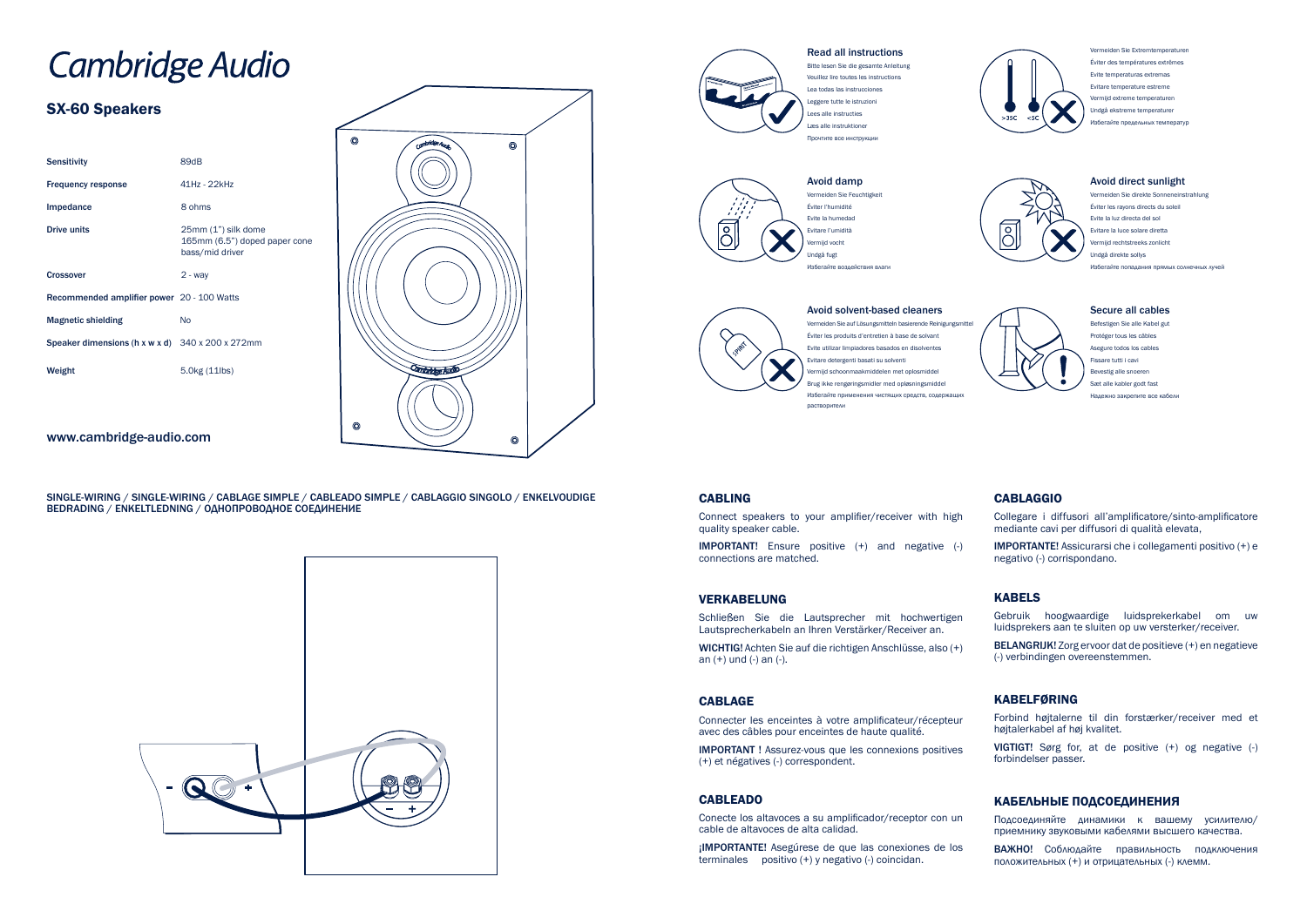# **Cambridge Audio**

# SX-60 Speakers

| <b>Sensitivity</b>                                            | 89dB                                                                    |
|---------------------------------------------------------------|-------------------------------------------------------------------------|
| <b>Frequency response</b>                                     | 41Hz - 22kHz                                                            |
| Impedance                                                     | 8 ohms                                                                  |
| <b>Drive units</b>                                            | 25mm (1") silk dome<br>165mm (6.5") doped paper cone<br>bass/mid driver |
| <b>Crossover</b>                                              | $2 - way$                                                               |
| Recommended amplifier power 20 - 100 Watts                    |                                                                         |
| <b>Magnetic shielding</b>                                     | No                                                                      |
| Speaker dimensions (h x w x d) $340 \times 200 \times 272$ mm |                                                                         |
| Weight                                                        | $5.0$ kg $(11$ lbs)                                                     |
|                                                               |                                                                         |



### www.cambridge-audio.com

#### Read all instructions

Bitte lesen Sie die gesamte Anleitung Veuillez lire toutes les instructions Lea todas las instrucciones Leggere tutte le istruzioni Lees alle instructies Læs alle instruktione Прочтите все инструкции







Vermeiden Sie Extremtemperaturen Éviter des températures extrêmes Evite temperaturas extremas Evitare temperature estreme Vermijd extreme temperaturen Undgå ekstreme temperaturer 1збегайте предельных темпера



Vermeiden Sie auf Lösungsmitteln basierende Reinigungsmittel Éviter les produits d'entretien à base de solvant Evite utilizar limpiadores basados en disolventes Evitare detergenti basati su solventi mijd schoonmaakmiddelen met oplosmidde Brug ikke rengøringsmidler med opløsningsmiddel Избегайте применения чистящих средств, содержащих растворители

#### **CABLING**

#### Avoid direct sunlight

Vermeiden Sie direkte Sonneneinstrahlung Éviter les rayons directs du soleil Evite la luz directa del sol Evitare la luce solare diretta rmijd rechtstreeks zonlicht Undgå direkte sollys Избегайте попадания прямых солнечных лучей



#### Secure all cables

Befestigen Sie alle Kabel gut Protéger tous les câbles Asegure todos los cables Fissare tutti i cavi evestig alle snoeren Sæt alle kabler godt fast Надежно закрепите все кабели

Connect speakers to your amplifier/receiver with high quality speaker cable.

IMPORTANT! Ensure positive (+) and negative (-) connections are matched.

#### VERKABELUNG

Schließen Sie die Lautsprecher mit hochwertigen Lautsprecherkabeln an Ihren Verstärker/Receiver an.

WICHTIG! Achten Sie auf die richtigen Anschlüsse, also (+) an (+) und (-) an (-).

#### CABLAGE

Connecter les enceintes à votre amplificateur/récepteur avec des câbles pour enceintes de haute qualité.

IMPORTANT ! Assurez-vous que les connexions positives (+) et négatives (-) correspondent.

#### CABLEADO

Conecte los altavoces a su amplificador/receptor con un cable de altavoces de alta calidad.

¡IMPORTANTE! Asegúrese de que las conexiones de los terminales positivo (+) y negativo (-) coincidan.



## CABLAGGIO

Collegare i diffusori all'amplificatore/sinto-amplificatore mediante cavi per diffusori di qualità elevata,

IMPORTANTE! Assicurarsi che i collegamenti positivo (+) e negativo (-) corrispondano.

#### KABELS

Gebruik hoogwaardige luidsprekerkabel om uw luidsprekers aan te sluiten op uw versterker/receiver.

BELANGRIJK! Zorg ervoor dat de positieve (+) en negatieve (-) verbindingen overeenstemmen.

#### KABELFØRING

Forbind højtalerne til din forstærker/receiver med et højtalerkabel af høj kvalitet.

VIGTIGT! Sørg for, at de positive (+) og negative (-) forbindelser passer.

#### КАБЕЛЬНЫЕ ПОДСОЕДИНЕНИЯ

Подсоединяйте динамики к вашему усилителю/ приемнику звуковыми кабелями высшего качества.

ВАЖНО! Соблюдайте правильность подключения положительных (+) и отрицательных (-) клемм.

SINGLE-WIRING / SINGLE-WIRING / CABLAGE SIMPLE / CABLEADO SIMPLE / CABLAGGIO SINGOLO / ENKELVOUDIGE BEDRADING / ENKELTLEDNING / ОДНОПРОВОДНОЕ СОЕДИНЕНИЕ